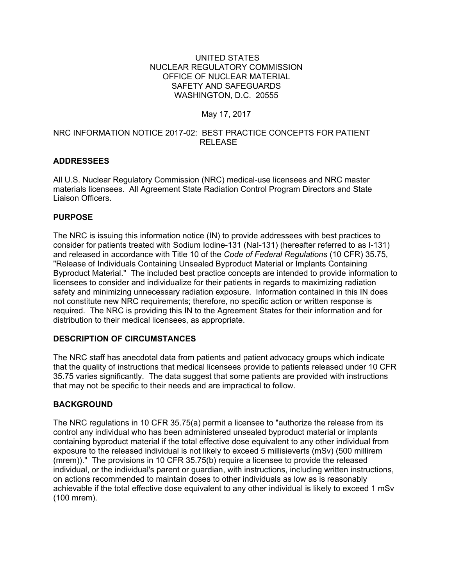#### UNITED STATES NUCLEAR REGULATORY COMMISSION OFFICE OF NUCLEAR MATERIAL SAFETY AND SAFEGUARDS WASHINGTON, D.C. 20555

## May 17, 2017

### NRC INFORMATION NOTICE 2017-02: BEST PRACTICE CONCEPTS FOR PATIENT RELEASE

## **ADDRESSEES**

All U.S. Nuclear Regulatory Commission (NRC) medical-use licensees and NRC master materials licensees. All Agreement State Radiation Control Program Directors and State Liaison Officers.

## **PURPOSE**

The NRC is issuing this information notice (IN) to provide addressees with best practices to consider for patients treated with Sodium Iodine-131 (NaI-131) (hereafter referred to as I-131) and released in accordance with Title 10 of the *Code of Federal Regulations* (10 CFR) 35.75, "Release of Individuals Containing Unsealed Byproduct Material or Implants Containing Byproduct Material." The included best practice concepts are intended to provide information to licensees to consider and individualize for their patients in regards to maximizing radiation safety and minimizing unnecessary radiation exposure. Information contained in this IN does not constitute new NRC requirements; therefore, no specific action or written response is required. The NRC is providing this IN to the Agreement States for their information and for distribution to their medical licensees, as appropriate.

## **DESCRIPTION OF CIRCUMSTANCES**

The NRC staff has anecdotal data from patients and patient advocacy groups which indicate that the quality of instructions that medical licensees provide to patients released under 10 CFR 35.75 varies significantly. The data suggest that some patients are provided with instructions that may not be specific to their needs and are impractical to follow.

## **BACKGROUND**

The NRC regulations in 10 CFR 35.75(a) permit a licensee to "authorize the release from its control any individual who has been administered unsealed byproduct material or implants containing byproduct material if the total effective dose equivalent to any other individual from exposure to the released individual is not likely to exceed 5 millisieverts (mSv) (500 millirem (mrem))." The provisions in 10 CFR 35.75(b) require a licensee to provide the released individual, or the individual's parent or guardian, with instructions, including written instructions, on actions recommended to maintain doses to other individuals as low as is reasonably achievable if the total effective dose equivalent to any other individual is likely to exceed 1 mSv (100 mrem).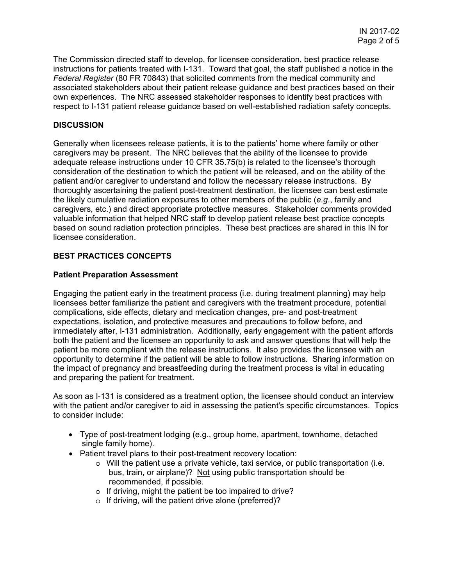The Commission directed staff to develop, for licensee consideration, best practice release instructions for patients treated with I-131. Toward that goal, the staff published a notice in the *Federal Register* (80 FR 70843) that solicited comments from the medical community and associated stakeholders about their patient release guidance and best practices based on their own experiences. The NRC assessed stakeholder responses to identify best practices with respect to I-131 patient release guidance based on well-established radiation safety concepts.

### **DISCUSSION**

Generally when licensees release patients, it is to the patients' home where family or other caregivers may be present. The NRC believes that the ability of the licensee to provide adequate release instructions under 10 CFR 35.75(b) is related to the licensee's thorough consideration of the destination to which the patient will be released, and on the ability of the patient and/or caregiver to understand and follow the necessary release instructions. By thoroughly ascertaining the patient post-treatment destination, the licensee can best estimate the likely cumulative radiation exposures to other members of the public (*e.g*., family and caregivers, etc.) and direct appropriate protective measures. Stakeholder comments provided valuable information that helped NRC staff to develop patient release best practice concepts based on sound radiation protection principles. These best practices are shared in this IN for licensee consideration.

#### **BEST PRACTICES CONCEPTS**

#### **Patient Preparation Assessment**

Engaging the patient early in the treatment process (i.e. during treatment planning) may help licensees better familiarize the patient and caregivers with the treatment procedure, potential complications, side effects, dietary and medication changes, pre- and post-treatment expectations, isolation, and protective measures and precautions to follow before, and immediately after, I-131 administration. Additionally, early engagement with the patient affords both the patient and the licensee an opportunity to ask and answer questions that will help the patient be more compliant with the release instructions. It also provides the licensee with an opportunity to determine if the patient will be able to follow instructions. Sharing information on the impact of pregnancy and breastfeeding during the treatment process is vital in educating and preparing the patient for treatment.

As soon as I-131 is considered as a treatment option, the licensee should conduct an interview with the patient and/or caregiver to aid in assessing the patient's specific circumstances. Topics to consider include:

- Type of post-treatment lodging (e.g., group home, apartment, townhome, detached single family home).
- Patient travel plans to their post-treatment recovery location:
	- $\circ$  Will the patient use a private vehicle, taxi service, or public transportation (i.e. bus, train, or airplane)? Not using public transportation should be recommended, if possible.
	- o If driving, might the patient be too impaired to drive?
	- o If driving, will the patient drive alone (preferred)?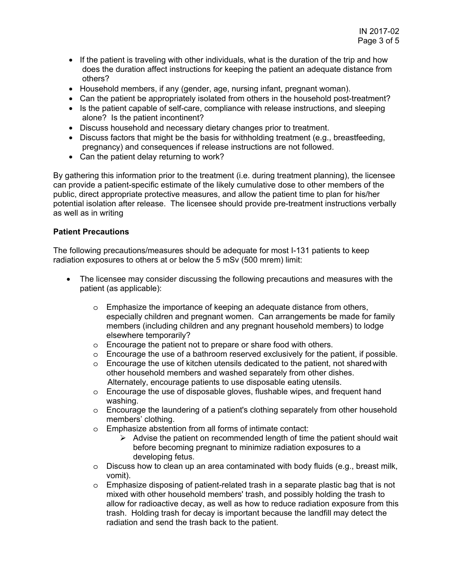- If the patient is traveling with other individuals, what is the duration of the trip and how does the duration affect instructions for keeping the patient an adequate distance from others?
- Household members, if any (gender, age, nursing infant, pregnant woman).
- Can the patient be appropriately isolated from others in the household post-treatment?
- Is the patient capable of self-care, compliance with release instructions, and sleeping alone? Is the patient incontinent?
- Discuss household and necessary dietary changes prior to treatment.
- Discuss factors that might be the basis for withholding treatment (e.g., breastfeeding, pregnancy) and consequences if release instructions are not followed.
- Can the patient delay returning to work?

By gathering this information prior to the treatment (i.e. during treatment planning), the licensee can provide a patient-specific estimate of the likely cumulative dose to other members of the public, direct appropriate protective measures, and allow the patient time to plan for his/her potential isolation after release. The licensee should provide pre-treatment instructions verbally as well as in writing

#### **Patient Precautions**

The following precautions/measures should be adequate for most I-131 patients to keep radiation exposures to others at or below the 5 mSv (500 mrem) limit:

- The licensee may consider discussing the following precautions and measures with the patient (as applicable):
	- o Emphasize the importance of keeping an adequate distance from others, especially children and pregnant women. Can arrangements be made for family members (including children and any pregnant household members) to lodge elsewhere temporarily?
	- o Encourage the patient not to prepare or share food with others.
	- o Encourage the use of a bathroom reserved exclusively for the patient, if possible.
	- $\circ$  Encourage the use of kitchen utensils dedicated to the patient, not shared with other household members and washed separately from other dishes. Alternately, encourage patients to use disposable eating utensils.
	- o Encourage the use of disposable gloves, flushable wipes, and frequent hand washing.
	- $\circ$  Encourage the laundering of a patient's clothing separately from other household members' clothing.
	- o Emphasize abstention from all forms of intimate contact:
		- $\triangleright$  Advise the patient on recommended length of time the patient should wait before becoming pregnant to minimize radiation exposures to a developing fetus.
	- $\circ$  Discuss how to clean up an area contaminated with body fluids (e.g., breast milk, vomit).
	- $\circ$  Emphasize disposing of patient-related trash in a separate plastic bag that is not mixed with other household members' trash, and possibly holding the trash to allow for radioactive decay, as well as how to reduce radiation exposure from this trash. Holding trash for decay is important because the landfill may detect the radiation and send the trash back to the patient.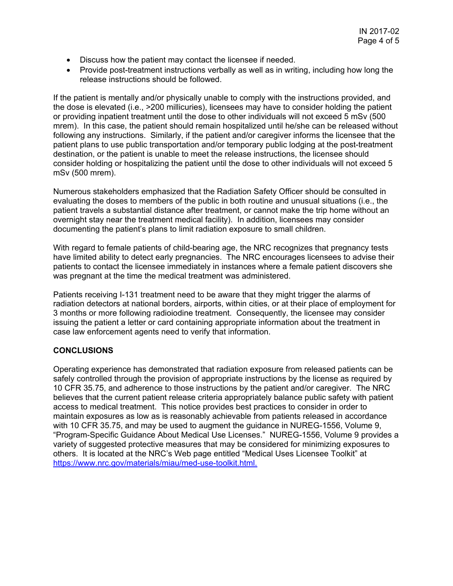- Discuss how the patient may contact the licensee if needed.
- Provide post-treatment instructions verbally as well as in writing, including how long the release instructions should be followed.

If the patient is mentally and/or physically unable to comply with the instructions provided, and the dose is elevated (i.e., >200 millicuries), licensees may have to consider holding the patient or providing inpatient treatment until the dose to other individuals will not exceed 5 mSv (500 mrem). In this case, the patient should remain hospitalized until he/she can be released without following any instructions. Similarly, if the patient and/or caregiver informs the licensee that the patient plans to use public transportation and/or temporary public lodging at the post-treatment destination, or the patient is unable to meet the release instructions, the licensee should consider holding or hospitalizing the patient until the dose to other individuals will not exceed 5 mSv (500 mrem).

Numerous stakeholders emphasized that the Radiation Safety Officer should be consulted in evaluating the doses to members of the public in both routine and unusual situations (i.e., the patient travels a substantial distance after treatment, or cannot make the trip home without an overnight stay near the treatment medical facility). In addition, licensees may consider documenting the patient's plans to limit radiation exposure to small children.

With regard to female patients of child-bearing age, the NRC recognizes that pregnancy tests have limited ability to detect early pregnancies. The NRC encourages licensees to advise their patients to contact the licensee immediately in instances where a female patient discovers she was pregnant at the time the medical treatment was administered.

Patients receiving I-131 treatment need to be aware that they might trigger the alarms of radiation detectors at national borders, airports, within cities, or at their place of employment for 3 months or more following radioiodine treatment. Consequently, the licensee may consider issuing the patient a letter or card containing appropriate information about the treatment in case law enforcement agents need to verify that information.

## **CONCLUSIONS**

Operating experience has demonstrated that radiation exposure from released patients can be safely controlled through the provision of appropriate instructions by the license as required by 10 CFR 35.75, and adherence to those instructions by the patient and/or caregiver. The NRC believes that the current patient release criteria appropriately balance public safety with patient access to medical treatment. This notice provides best practices to consider in order to maintain exposures as low as is reasonably achievable from patients released in accordance with 10 CFR 35.75, and may be used to augment the guidance in NUREG-1556, Volume 9, "Program-Specific Guidance About Medical Use Licenses." NUREG-1556, Volume 9 provides a variety of suggested protective measures that may be considered for minimizing exposures to others. It is located at the NRC's Web page entitled "Medical Uses Licensee Toolkit" at https://www.nrc.gov/materials/miau/med-use-toolkit.html.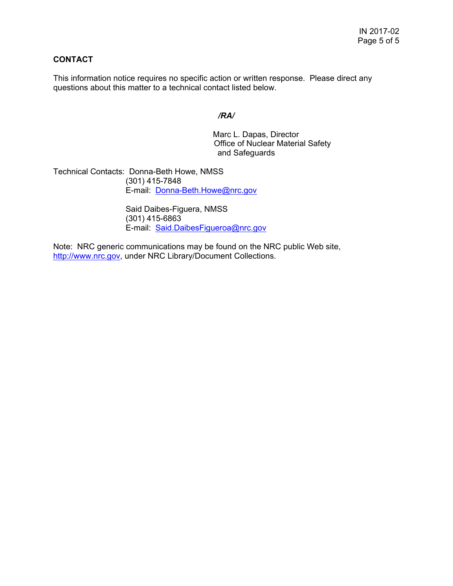## **CONTACT**

This information notice requires no specific action or written response. Please direct any questions about this matter to a technical contact listed below.

## */RA/*

Marc L. Dapas, Director Office of Nuclear Material Safety and Safeguards

Technical Contacts: Donna-Beth Howe, NMSS (301) 415-7848 E-mail: Donna-Beth.Howe@nrc.gov

> Said Daibes-Figuera, NMSS (301) 415-6863 E-mail: Said.DaibesFigueroa@nrc.gov

Note: NRC generic communications may be found on the NRC public Web site, http://www.nrc.gov, under NRC Library/Document Collections.